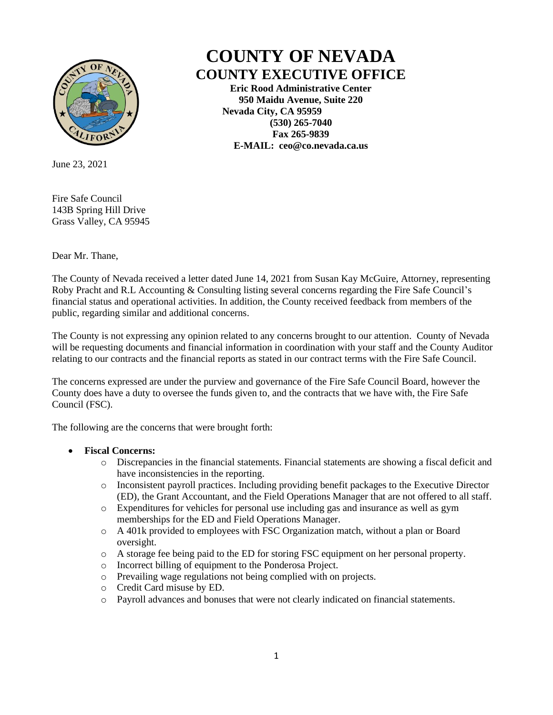

**COUNTY OF NEVADA COUNTY EXECUTIVE OFFICE**

> **Eric Rood Administrative Center 950 Maidu Avenue, Suite 220 Nevada City, CA 95959 (530) 265-7040 Fax 265-9839 E-MAIL: ceo@co.nevada.ca.us**

June 23, 2021

Fire Safe Council 143B Spring Hill Drive Grass Valley, CA 95945

Dear Mr. Thane,

The County of Nevada received a letter dated June 14, 2021 from Susan Kay McGuire, Attorney, representing Roby Pracht and R.L Accounting & Consulting listing several concerns regarding the Fire Safe Council's financial status and operational activities. In addition, the County received feedback from members of the public, regarding similar and additional concerns.

The County is not expressing any opinion related to any concerns brought to our attention. County of Nevada will be requesting documents and financial information in coordination with your staff and the County Auditor relating to our contracts and the financial reports as stated in our contract terms with the Fire Safe Council.

The concerns expressed are under the purview and governance of the Fire Safe Council Board, however the County does have a duty to oversee the funds given to, and the contracts that we have with, the Fire Safe Council (FSC).

The following are the concerns that were brought forth:

## • **Fiscal Concerns:**

- o Discrepancies in the financial statements. Financial statements are showing a fiscal deficit and have inconsistencies in the reporting.
- o Inconsistent payroll practices. Including providing benefit packages to the Executive Director (ED), the Grant Accountant, and the Field Operations Manager that are not offered to all staff.
- o Expenditures for vehicles for personal use including gas and insurance as well as gym memberships for the ED and Field Operations Manager.
- o A 401k provided to employees with FSC Organization match, without a plan or Board oversight.
- o A storage fee being paid to the ED for storing FSC equipment on her personal property.
- o Incorrect billing of equipment to the Ponderosa Project.
- o Prevailing wage regulations not being complied with on projects.
- o Credit Card misuse by ED.
- o Payroll advances and bonuses that were not clearly indicated on financial statements.